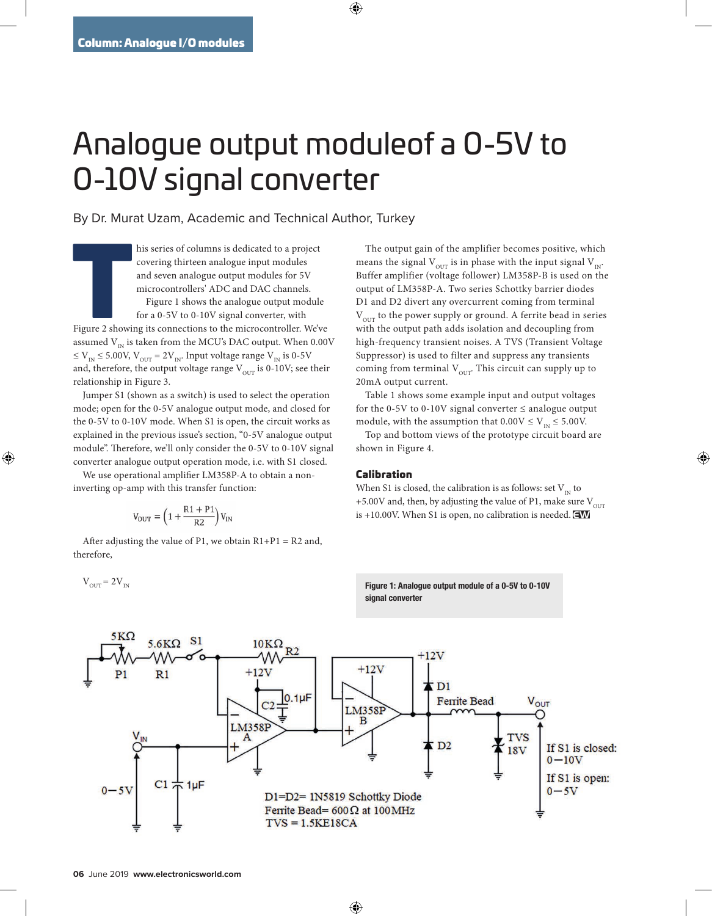## Analogue output moduleof a 0-5V to 0-10V signal converter

By Dr. Murat Uzam, Academic and Technical Author, Turkey

**The Contract of Section**<br>Tigure 2 showi his series of columns is dedicated to a project covering thirteen analogue input modules and seven analogue output modules for 5V microcontrollers' ADC and DAC channels. Figure 1 shows the analogue output module for a 0-5V to 0-10V signal converter, with

Figure 2 showing its connections to the microcontroller. We've assumed  $V_{\text{IN}}$  is taken from the MCU's DAC output. When 0.00V  $\leq$  V<sub>IN</sub>  $\leq$  5.00V, V<sub>OUT</sub> = 2V<sub>IN</sub>. Input voltage range V<sub>IN</sub> is 0-5V and, therefore, the output voltage range  $V_{\text{OUT}}$  is 0-10V; see their relationship in Figure 3.

Jumper S1 (shown as a switch) is used to select the operation mode; open for the 0-5V analogue output mode, and closed for the 0-5V to 0-10V mode. When S1 is open, the circuit works as explained in the previous issue's section, "0-5V analogue output module". Therefore, we'll only consider the 0-5V to 0-10V signal converter analogue output operation mode, i.e. with S1 closed.

We use operational amplifier LM358P-A to obtain a noninverting op-amp with this transfer function:

$$
V_{\rm OUT} = \left(1+\frac{R1+P1}{R2}\right) V_{\rm IN}
$$

After adjusting the value of P1, we obtain  $R1+P1 = R2$  and, therefore,

The output gain of the amplifier becomes positive, which means the signal  $V_{\text{OUT}}$  is in phase with the input signal  $V_{\text{IN}}$ . Buffer amplifier (voltage follower) LM358P-B is used on the output of LM358P-A. Two series Schottky barrier diodes D1 and D2 divert any overcurrent coming from terminal  $V<sub>OUT</sub>$  to the power supply or ground. A ferrite bead in series with the output path adds isolation and decoupling from high-frequency transient noises. A TVS (Transient Voltage Suppressor) is used to filter and suppress any transients coming from terminal  $V_{\text{OUT}}$ . This circuit can supply up to 20mA output current.

Table 1 shows some example input and output voltages for the 0-5V to 0-10V signal converter  $\leq$  analogue output module, with the assumption that  $0.00V \le V_{\text{IN}} \le 5.00V$ .

Top and bottom views of the prototype circuit board are shown in Figure 4.

## Calibration

When S1 is closed, the calibration is as follows: set  $V_{1N}$  to +5.00V and, then, by adjusting the value of P1, make sure  $V_{\text{out}}$ is  $+10.00V$ . When S1 is open, no calibration is needed.

Figure 1: Analogue output module of a 0-5V to 0-10V signal converter



 $V_{\text{over}} = 2V_{\text{int}}$